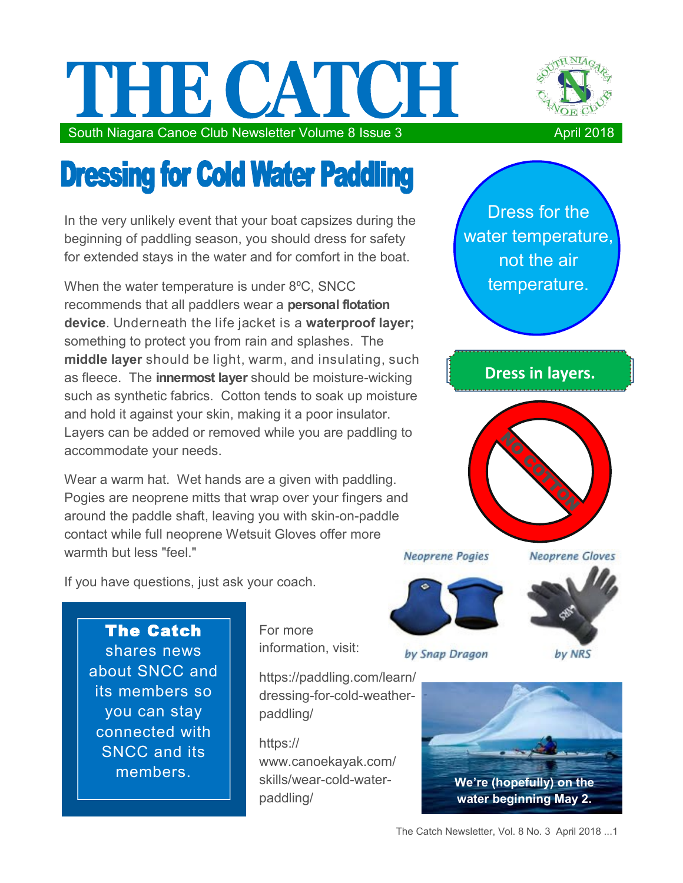## THE CATCH South Niagara Canoe Club Newsletter Volume 8 Issue 3 April 2018



## **Dressing for Cold Water Paddling**

In the very unlikely event that your boat capsizes during the beginning of paddling season, you should dress for safety for extended stays in the water and for comfort in the boat.

When the water temperature is under 8°C, SNCC recommends that all paddlers wear a **personal flotation device**. Underneath the life jacket is a **waterproof layer;**  something to protect you from rain and splashes. The **middle layer** should be light, warm, and insulating, such as fleece. The **innermost layer** should be moisture-wicking such as synthetic fabrics. Cotton tends to soak up moisture and hold it against your skin, making it a poor insulator. Layers can be added or removed while you are paddling to accommodate your needs.

Wear a warm hat. Wet hands are a given with paddling. Pogies are neoprene mitts that wrap over your fingers and around the paddle shaft, leaving you with skin-on-paddle contact while full neoprene Wetsuit Gloves offer more warmth but less "feel."

temperature. **Dress in layers. Neoprene Gloves Neoprene Pogies** 

Dress for the

water temperature, not the air

by Snap Dragon

by NRS

The Catch shares news about SNCC and its members so you can stay connected with SNCC and its members.

If you have questions, just ask your coach.

For more information, visit:

https://paddling.com/learn/ dressing-for-cold-weatherpaddling/

https:// www.canoekayak.com/ skills/wear-cold-waterpaddling/



The Catch Newsletter, Vol. 8 No. 3 April 2018 ...1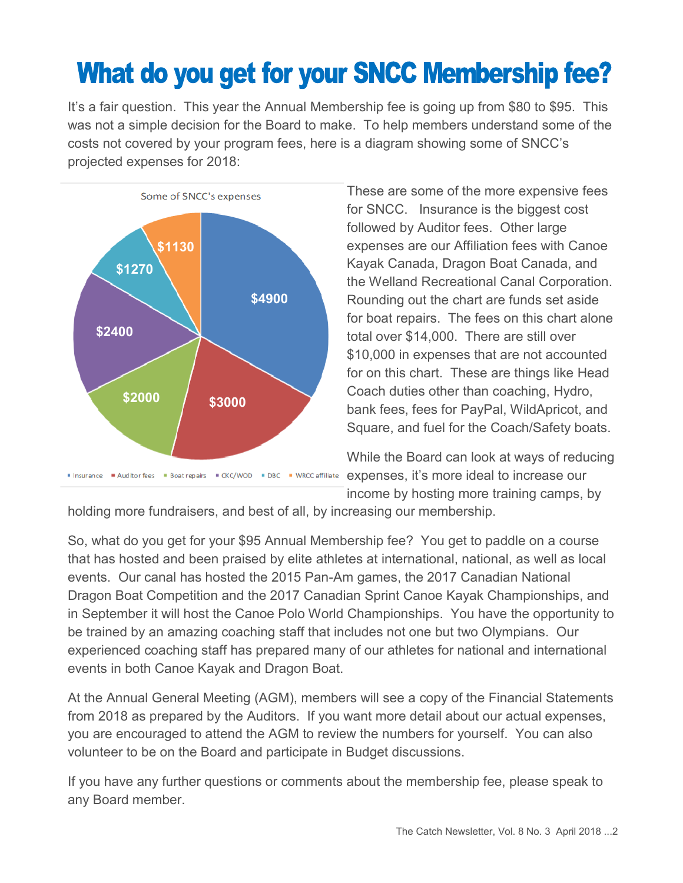## **What do you get for your SNCC Membership fee?**

It's a fair question. This year the Annual Membership fee is going up from \$80 to \$95. This was not a simple decision for the Board to make. To help members understand some of the costs not covered by your program fees, here is a diagram showing some of SNCC's projected expenses for 2018:



These are some of the more expensive fees for SNCC. Insurance is the biggest cost followed by Auditor fees. Other large expenses are our Affiliation fees with Canoe Kayak Canada, Dragon Boat Canada, and the Welland Recreational Canal Corporation. Rounding out the chart are funds set aside for boat repairs. The fees on this chart alone total over \$14,000. There are still over \$10,000 in expenses that are not accounted for on this chart. These are things like Head Coach duties other than coaching, Hydro, bank fees, fees for PayPal, WildApricot, and Square, and fuel for the Coach/Safety boats.

While the Board can look at ways of reducing expenses, it's more ideal to increase our income by hosting more training camps, by

holding more fundraisers, and best of all, by increasing our membership.

So, what do you get for your \$95 Annual Membership fee? You get to paddle on a course that has hosted and been praised by elite athletes at international, national, as well as local events. Our canal has hosted the 2015 Pan-Am games, the 2017 Canadian National Dragon Boat Competition and the 2017 Canadian Sprint Canoe Kayak Championships, and in September it will host the Canoe Polo World Championships. You have the opportunity to be trained by an amazing coaching staff that includes not one but two Olympians. Our experienced coaching staff has prepared many of our athletes for national and international events in both Canoe Kayak and Dragon Boat.

At the Annual General Meeting (AGM), members will see a copy of the Financial Statements from 2018 as prepared by the Auditors. If you want more detail about our actual expenses, you are encouraged to attend the AGM to review the numbers for yourself. You can also volunteer to be on the Board and participate in Budget discussions.

If you have any further questions or comments about the membership fee, please speak to any Board member.